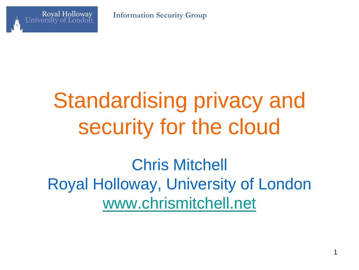**Information Security Group**



# Standardising privacy and security for the cloud

Chris Mitchell Royal Holloway, University of London [www.chrismitchell.net](http://www.chrismitchell.net/)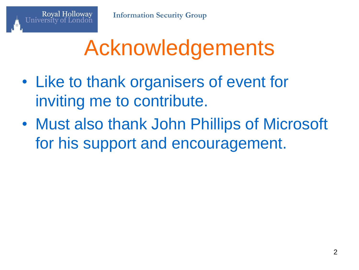

## Acknowledgements

- Like to thank organisers of event for inviting me to contribute.
- Must also thank John Phillips of Microsoft for his support and encouragement.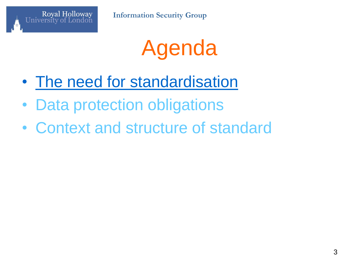

## Agenda

- The need for standardisation
- Data protection obligations
- Context and structure of standard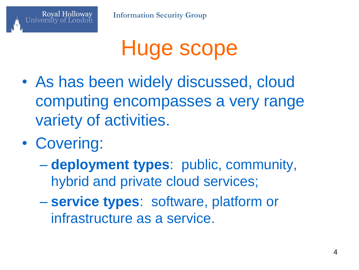

#### Huge scope

- As has been widely discussed, cloud computing encompasses a very range variety of activities.
- Covering:

- **deployment types**: public, community, hybrid and private cloud services;
- **service types**: software, platform or infrastructure as a service.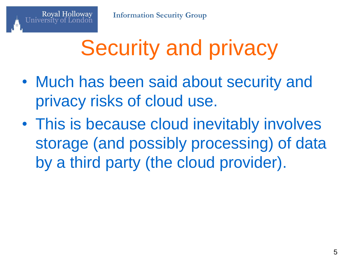## Security and privacy

- Much has been said about security and privacy risks of cloud use.
- This is because cloud inevitably involves storage (and possibly processing) of data by a third party (the cloud provider).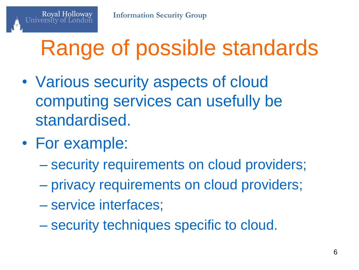## Range of possible standards

- Various security aspects of cloud computing services can usefully be standardised.
- For example:

- security requirements on cloud providers;
- privacy requirements on cloud providers;
- service interfaces;
- security techniques specific to cloud.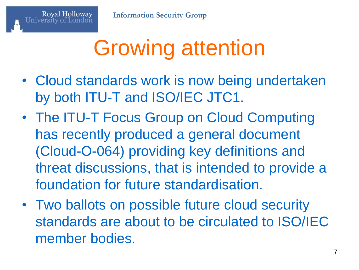## Growing attention

- Cloud standards work is now being undertaken by both ITU-T and ISO/IEC JTC1.
- The ITU-T Focus Group on Cloud Computing has recently produced a general document (Cloud-O-064) providing key definitions and threat discussions, that is intended to provide a foundation for future standardisation.
- Two ballots on possible future cloud security standards are about to be circulated to ISO/IEC member bodies.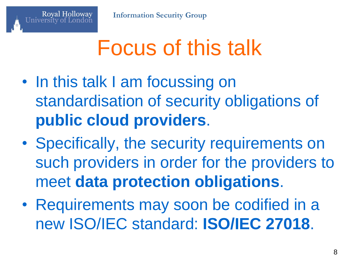## Focus of this talk

- In this talk I am focussing on standardisation of security obligations of **public cloud providers**.
- Specifically, the security requirements on such providers in order for the providers to meet **data protection obligations**.
- Requirements may soon be codified in a new ISO/IEC standard: **ISO/IEC 27018**.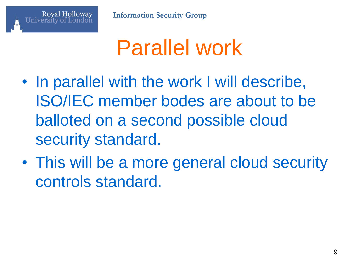

## Parallel work

- In parallel with the work I will describe, ISO/IEC member bodes are about to be balloted on a second possible cloud security standard.
- This will be a more general cloud security controls standard.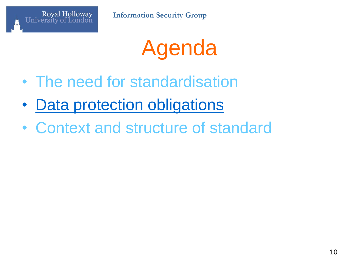

## Agenda

- The need for standardisation
- Data protection obligations
- Context and structure of standard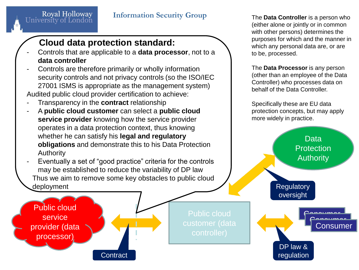#### **Information Security Group**

#### **Cloud data protection standard:**

- Controls that are applicable to a **data processor**, not to a **data controller**
- Controls are therefore primarily or wholly information security controls and not privacy controls (so the ISO/IEC 27001 ISMS is appropriate as the management system) Audited public cloud provider certification to achieve:
- Transparency in the **contract** relationship
- A **public cloud customer** can select a **public cloud service provider** knowing how the service provider operates in a data protection context, thus knowing whether he can satisfy his **legal and regulatory obligations** and demonstrate this to his Data Protection Authority

Eventually a set of "good practice" criteria for the controls may be established to reduce the variability of DP law Thus we aim to remove some key obstacles to public cloud deployment

**Contract** 

Public cloud service provider (data processor)

Royal Holloway<br>University of London

Public cloud controller)

The **Data Controller** is a person who (either alone or jointly or in common with other persons) determines the purposes for which and the manner in which any personal data are, or are to be, processed.

The **Data Processor** is any person (other than an employee of the Data Controller) who processes data on behalf of the Data Controller.

Specifically these are EU data protection concepts, but may apply more widely in practice.

> Data **Protection Authority**

> > Consumer Consumer Consumer

**Regulatory** oversight

DP law & regulation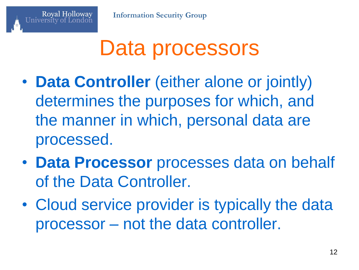#### Data processors

- **Data Controller** (either alone or jointly) determines the purposes for which, and the manner in which, personal data are processed.
- **Data Processor** processes data on behalf of the Data Controller.
- Cloud service provider is typically the data processor – not the data controller.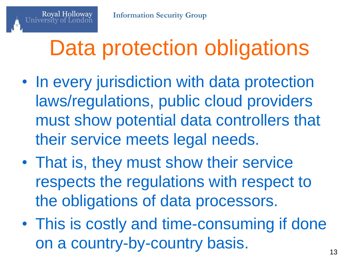## Data protection obligations

- In every jurisdiction with data protection laws/regulations, public cloud providers must show potential data controllers that their service meets legal needs.
- That is, they must show their service respects the regulations with respect to the obligations of data processors.
- This is costly and time-consuming if done on a country-by-country basis.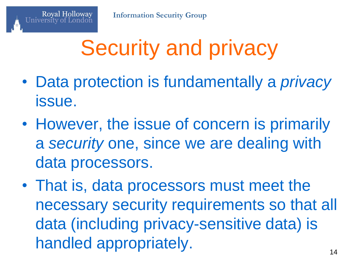## Security and privacy

- Data protection is fundamentally a *privacy* issue.
- However, the issue of concern is primarily a *security* one, since we are dealing with data processors.
- That is, data processors must meet the necessary security requirements so that all data (including privacy-sensitive data) is handled appropriately.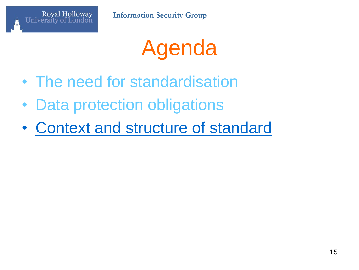

## Agenda

- The need for standardisation
- Data protection obligations
- Context and structure of standard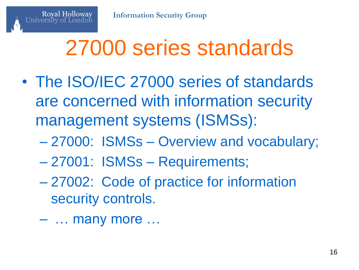## 27000 series standards

- The ISO/IEC 27000 series of standards are concerned with information security management systems (ISMSs):
	- 27000: ISMSs Overview and vocabulary;
	- 27001: ISMSs Requirements;
	- 27002: Code of practice for information security controls.
	- … many more …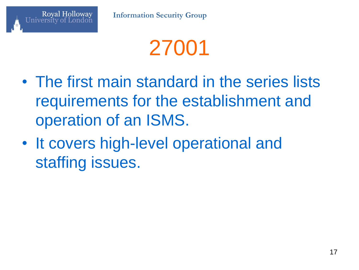

- The first main standard in the series lists requirements for the establishment and operation of an ISMS.
- It covers high-level operational and staffing issues.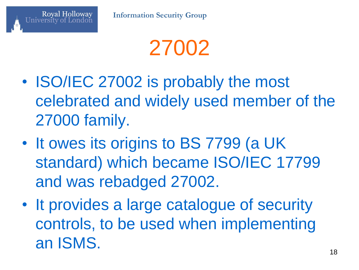

27002

- ISO/IEC 27002 is probably the most celebrated and widely used member of the 27000 family.
- It owes its origins to BS 7799 (a UK standard) which became ISO/IEC 17799 and was rebadged 27002.
- It provides a large catalogue of security controls, to be used when implementing an ISMS.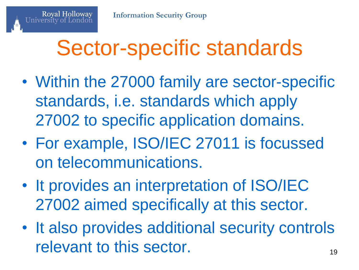## Sector-specific standards

- Within the 27000 family are sector-specific standards, i.e. standards which apply 27002 to specific application domains.
- For example, ISO/IEC 27011 is focussed on telecommunications.
- It provides an interpretation of ISO/IEC 27002 aimed specifically at this sector.
- It also provides additional security controls relevant to this sector.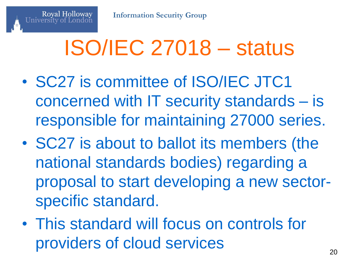## ISO/IEC 27018 – status

- SC27 is committee of ISO/IEC JTC1 concerned with IT security standards – is responsible for maintaining 27000 series.
- SC27 is about to ballot its members (the national standards bodies) regarding a proposal to start developing a new sectorspecific standard.
- This standard will focus on controls for providers of cloud services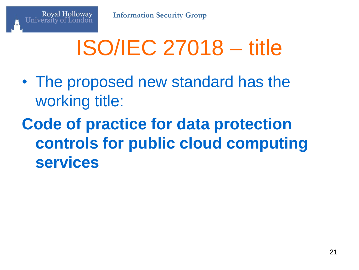

- The proposed new standard has the working title:
- **Code of practice for data protection controls for public cloud computing services**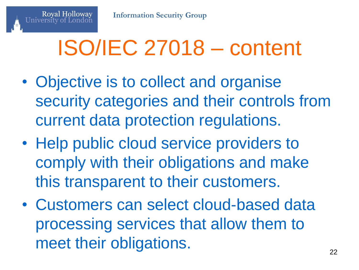## ISO/IEC 27018 – content

- Objective is to collect and organise security categories and their controls from current data protection regulations.
- Help public cloud service providers to comply with their obligations and make this transparent to their customers.
- Customers can select cloud-based data processing services that allow them to meet their obligations.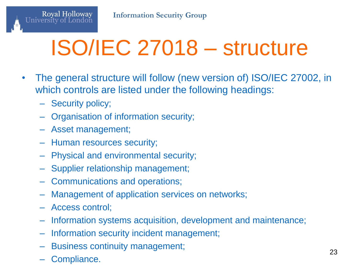# ISO/IEC 27018 – structure

- The general structure will follow (new version of) ISO/IEC 27002, in which controls are listed under the following headings:
	- Security policy;

Royal Holloway<br>University of London

- Organisation of information security;
- Asset management;
- Human resources security;
- Physical and environmental security;
- Supplier relationship management;
- Communications and operations;
- Management of application services on networks;
- Access control;
- Information systems acquisition, development and maintenance;
- Information security incident management;
- Business continuity management;
- Compliance.